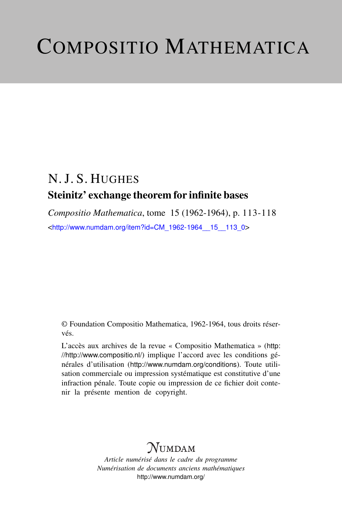# COMPOSITIO MATHEMATICA

## N. J. S. HUGHES Steinitz' exchange theorem for infinite bases

*Compositio Mathematica*, tome 15 (1962-1964), p. 113-118 <[http://www.numdam.org/item?id=CM\\_1962-1964\\_\\_15\\_\\_113\\_0](http://www.numdam.org/item?id=CM_1962-1964__15__113_0)>

© Foundation Compositio Mathematica, 1962-1964, tous droits réservés.

L'accès aux archives de la revue « Compositio Mathematica » ([http:](http://http://www.compositio.nl/) [//http://www.compositio.nl/](http://http://www.compositio.nl/)) implique l'accord avec les conditions générales d'utilisation (<http://www.numdam.org/conditions>). Toute utilisation commerciale ou impression systématique est constitutive d'une infraction pénale. Toute copie ou impression de ce fichier doit contenir la présente mention de copyright.

## $\mathcal{N}$ umdam

*Article numérisé dans le cadre du programme Numérisation de documents anciens mathématiques* <http://www.numdam.org/>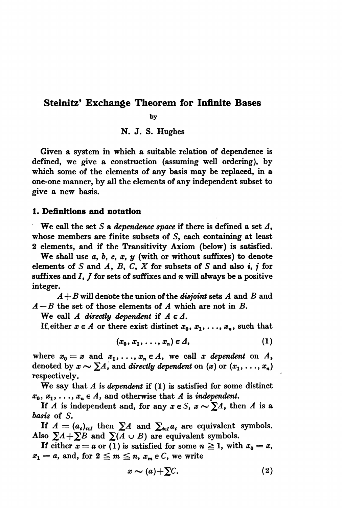### Steinitz' Exchange Theorem for Infinite Bases

by

N. J. S. Hughes

Given a system in which a suitable relation of dependence is defined, we give a construction (assuming well ordering), by which some of the elements of any basis may be replaced, in a one-one manner, by all the elements of any independent subset to give a new basis.

#### 1. Definitions and notation

We call the set S a dependence space if there is defined a set  $\Lambda$ , whose members are finite subsets of S, each containing at least 2 elements, and if the Transitivity Axiom (below) is satisfied.

We shall use  $a, b, c, x, y$  (with or without suffixes) to denote elements of S and A, B, C, X for subsets of S and also  $i, j$  for suffixes and  $I, J$  for sets of suffixes and n will always be a positive integer.

 $A + B$  will denote the union of the *disjoint* sets A and B and  $A - B$  the set of those elements of A which are not in B.

We call A directly dependent if  $A \in \Delta$ .

If either  $x \in A$  or there exist distinct  $x_0, x_1, \ldots, x_n$ , such that

$$
(x_0, x_1, \ldots, x_n) \in \varDelta,
$$
 (1)

where  $x_0 = x$  and  $x_1, \ldots, x_n \in A$ , we call x dependent on A, denoted by  $x \sim \sum A$ , and directly dependent on  $(x)$  or  $(x_1, \ldots, x_n)$ respectively. .

We say that  $A$  is *dependent* if  $(1)$  is satisfied for some distinct  $x_0, x_1, \ldots, x_n \in A$ , and otherwise that A is independent.

If A is independent and, for any  $x \in S$ ,  $x \sim \sum A$ , then A is a basis of S.

If  $A = (a_i)_{i \in I}$  then  $\sum A$  and  $\sum_{i \in I} a_i$  are equivalent symbols. Also  $\Sigma A+\Sigma B$  and  $\Sigma(A \cup B)$  are equivalent symbols.

If either  $x = a$  or (1) is satisfied for some  $n \ge 1$ , with  $x_0 = x$ ,  $x_1 = a$ , and, for  $2 \leq m \leq n$ ,  $x_m \in C$ , we write

$$
x \sim (a) + \sum C. \tag{2}
$$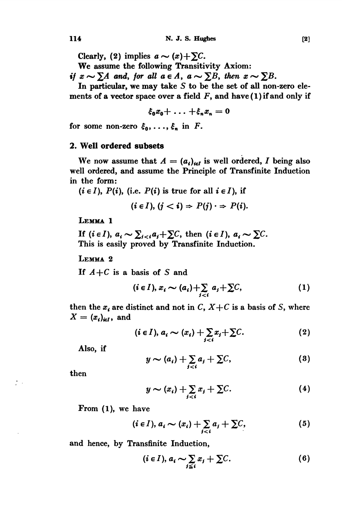Clearly, (2) implies  $a \sim (x) + \sum C$ .

We assume the following Transitivity Axiom:

if  $x \sim \sum A$  and, for all  $a \in A$ ,  $a \sim \sum B$ , then  $x \sim \sum B$ .

In particular, we may take S to be the set of all non-zero elements of a vector space over a field  $F$ , and have  $(1)$  if and only if

$$
\xi_0 x_0 + \ldots + \xi_n x_n = 0
$$

for some non-zero  $\xi_0, \ldots, \xi_n$  in F.

#### 2. Well ordered subsets

We now assume that  $A = (a_i)_{i \in I}$  is well ordered, I being also well ordered, and assume the Principle of Transfinite Induction in the form:

 $(i \in I)$ ,  $P(i)$ , (i.e.  $P(i)$  is true for all  $i \in I$ ), if

$$
(i \in I), (j < i) \Rightarrow P(j) \cdot \Rightarrow P(i).
$$

LEMMA 1

If  $(i \in I)$ ,  $a_i \sim \sum_{i \leq i} a_i + \sum C_i$ , then  $(i \in I)$ ,  $a_i \sim \sum C$ . This is easily proved by Transfinite Induction.

LEMMA 2

If  $A+C$  is a basis of S and

$$
(i \in I), x_i \sim (a_i) + \sum_{j < i} a_j + \sum C,\tag{1}
$$

then the  $x_i$  are distinct and not in C,  $X+C$  is a basis of S, where  $X = (x_i)_{i \in I}$ , and

$$
(i \in I), a_i \sim (x_i) + \sum_{j (2)
$$

Also, if

$$
y \sim (a_i) + \sum_{j < i} a_j + \sum C,\tag{3}
$$

then

 $\mathcal{I} \rightarrow$ 

$$
y \sim (x_i) + \sum_{j < i} x_j + \sum C. \tag{4}
$$

From (1), we have

$$
(i \in I), a_i \sim (x_i) + \sum_{j (5)
$$

and hence, by Transfinite Induction,

$$
(i \in I), a_i \sim \sum_{j \leq i} x_j + \sum C.
$$
 (6)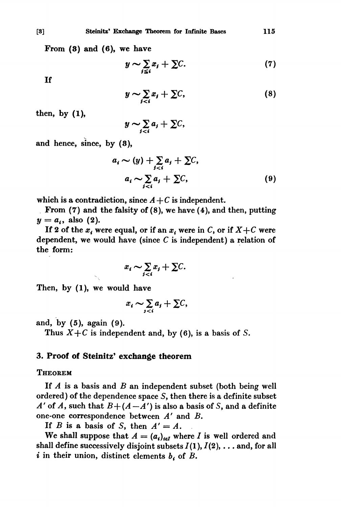From (8) and (6), we have

$$
y \sim \sum_{j \leq i} x_j + \sum C. \tag{7}
$$

If

$$
y \sim \sum_{j < i} x_j + \sum C,\tag{8}
$$

then, by (1),

$$
y \sim \sum_{j
$$

and hence, since, by (8),

$$
a_i \sim (y) + \sum_{j  
\n
$$
a_i \sim \sum_{j (9)
$$
$$

which is a contradiction, since  $A + C$  is independent.

. From (7) and the falsity of (8), we have (4), and then, putting  $y = a_i$ , also (2).

If 2 of the  $x_i$  were equal, or if an  $x_i$  were in C, or if  $X+C$  were dependent, we would have (since  $C$  is independent) a relation of the form:

$$
x_i \sim \sum_{j
$$

Then, by (1), we would have

$$
x_i \sim \sum_{j
$$

and, by (5), again (9).

Thus  $X+C$  is independent and, by (6), is a basis of S.

#### 3. Proof of Steinitz' exchange theorem

#### **THEOREM**

If  $A$  is a basis and  $B$  an independent subset (both being well ordered) of the dependence space S, then there is a definite subset A' of A, such that  $B + (A - A')$  is also a basis of S, and a definite one-one correspondence between A' and B.

If B is a basis of S, then  $A' = A$ .

We shall suppose that  $A = (a_i)_{i \in I}$  where I is well ordered and shall define successively disjoint subsets  $I(1), I(2), \ldots$  and, for all i in their union, distinct elements  $b_i$  of B.

115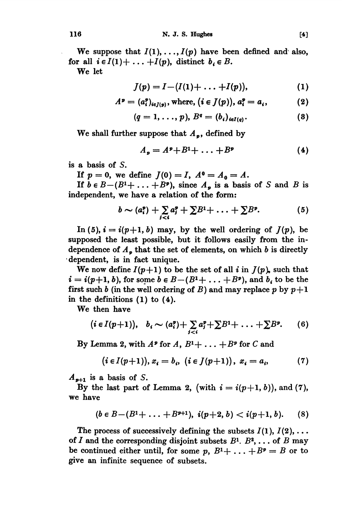We suppose that  $I(1), \ldots, I(p)$  have been defined and also, for all  $i \in I(1) + \ldots + I(p)$ , distinct  $b_i \in B$ .

We let

$$
J(p) = I - (I(1) + \ldots + I(p)), \qquad (1)
$$

$$
Ap = (aip)i\in J(p), where, (i \in J(p)), aip = ai, (2)
$$

$$
(q=1,\ldots,p), B^q=(b_i)_{i\in I(q)}.
$$
 (3)

We shall further suppose that  $A_{\nu}$ , defined by

$$
A_p = A^p + B^1 + \ldots + B^p \tag{4}
$$

is a basis of S.

If  $p = 0$ , we define  $J(0) = I$ ,  $A^0 = A_0 = A$ .

If  $b \in B-(B^1+\ldots+B^p)$ , since  $A_p$  is a basis of S and B is independent, we have a relation of the form:

$$
b \sim (a_i^p) + \sum_{j < i} a_j^p + \sum B^1 + \ldots + \sum B^p. \tag{5}
$$

In (5),  $i = i(p+1, b)$  may, by the well ordering of  $J(p)$ , be supposed the least possible, but it follows easily from the independence of  $A_p$  that the set of elements, on which b is directly dépendent, is in fact unique.

We now define  $I(p+1)$  to be the set of all i in  $J(p)$ , such that  $i = i(p+1, b)$ , for some  $b \in B - (B<sup>1</sup>+ \ldots + B<sup>p</sup>)$ , and  $b_i$  to be the first such b (in the well ordering of B) and may replace p by  $p+1$ in the definitions (1) to (4).

We then have

$$
(i \in I(p+1)), b_i \sim (a_i^p) + \sum_{j (6)
$$

By Lemma 2, with  $A^p$  for  $A, B^1 + \ldots + B^p$  for C and

$$
(i \in I(p+1)), x_i = b_i, (i \in J(p+1)), x_i = a_i,
$$
 (7)

 $A_{n+1}$  is a basis of S.

By the last part of Lemma 2, (with  $i = i(p+1, b)$ ), and (7), we have

$$
(b\in B-(B^1+\ldots+B^{p+1}),\ i(p+2,\,b) (8)
$$

The process of successively defining the subsets  $I(1), I(2), \ldots$ of I and the corresponding disjoint subsets  $B^1$ .  $B^2$ , ... of B may be continued either until, for some p,  $B^1 + \ldots + B^p = B$  or to give an infinite sequence of subsets.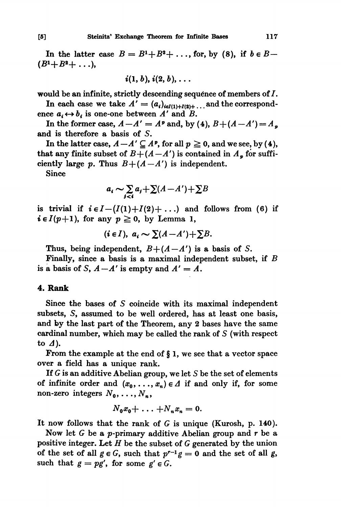In the latter case  $B = B^1 + B^2 + \ldots$ , for, by (8), if  $b \in B$ - $(B^{1}+B^{2}+\ldots),$ 

$$
i(1, b), i(2, b), \ldots
$$

would be an infinite, strictly descending sequence of members of  $I$ .

In each case we take  $A' = (a_i)_{i \in I(1) + I(2)+...}$  and the correspondence  $a_i \leftrightarrow b_i$  is one-one between A' and B.

In the former case,  $A-A' = A^p$  and, by (4),  $B+(A-A') = A_p$ and is therefore a basis of S.

In the latter case,  $A - A' \subseteq A^p$ , for all  $p \ge 0$ , and we see, by (4), that any finite subset of  $B + (A - A')$  is contained in  $A_p$  for sufficiently large p. Thus  $B+(A-A')$  is independent.

Since

$$
a_i \sim \sum_{j
$$

is trivial if  $i \in I - (I(1) + I(2) + ...)$  and follows from (6) if  $i \in I(p+1)$ , for any  $p \ge 0$ , by Lemma 1,

$$
(i\in I),\ a_i \sim \sum (A-A')+\sum B.
$$

Thus, being independent,  $B+(A-A')$  is a basis of S.

Finally, since a basis is a maximal independent subset, if B is a basis of S,  $A - A'$  is empty and  $A' = A$ .

#### 4. Rank

Since the bases of S coincide with its maximal independent subsets, S, assumed to be well ordered, has at least one basis, and by the last part of the Theorem, any 2 bases have the same cardinal number, which may be called the rank of S (with respect to  $\Delta$ ).

From the example at the end of § 1, we see that a vector space over a field has a unique rank.

If G is an additive Abelian group, we let S be the set of elements of infinite order and  $(x_0, \ldots, x_n) \in \Delta$  if and only if, for some non-zero integers  $N_0, \ldots, N_n$ ,

$$
N_0x_0+\ldots+N_nx_n=0.
$$

It now follows that the rank of G is unique (Kurosh, p. 140).

Now let  $G$  be a p-primary additive Abelian group and  $r$  be a positive integer. Let  $H$  be the subset of  $G$  generated by the union of the set of all  $g \in G$ , such that  $p^{r-1}g = 0$  and the set of all g, such that  $g = pg'$ , for some  $g' \in G$ .

 $[5]$